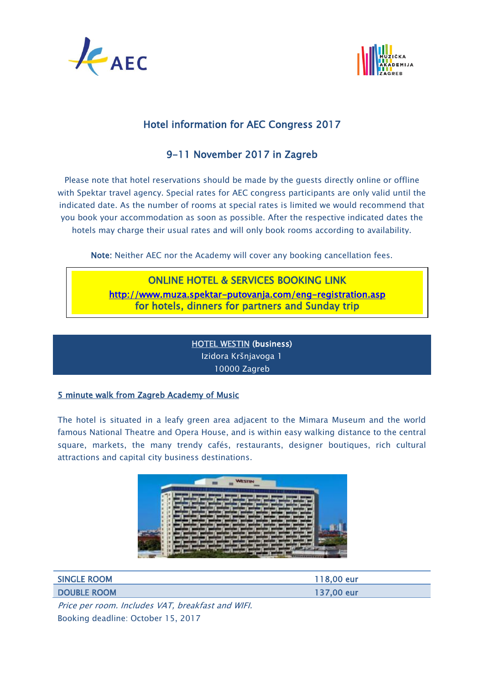



# Hotel information for AEC Congress 2017

# 9-11 November 2017 in Zagreb

Please note that hotel reservations should be made by the guests directly online or offline with Spektar travel agency. Special rates for AEC congress participants are only valid until the indicated date. As the number of rooms at special rates is limited we would recommend that you book your accommodation as soon as possible. After the respective indicated dates the hotels may charge their usual rates and will only book rooms according to availability.

Note: Neither AEC nor the Academy will cover any booking cancellation fees.

# ONLINE HOTEL & SERVICES [BOOKING](http://www.muza.spektar-putovanja.com/) LINK <http://www.muza.spektar-putovanja.com/eng-registration.asp> for hotels, dinners for partners and Sunday trip

[HOTEL WESTIN](http://www.westinzagreb.com/hr) (business) Izidora Kršnjavoga 1 10000 Zagreb

## 5 minute walk from Zagreb Academy of Music

The hotel is situated in a leafy green area adjacent to the Mimara Museum and the world famous National Theatre and Opera House, and is within easy walking distance to the central square, markets, the many trendy cafés, restaurants, designer boutiques, rich cultural attractions and capital city business destinations.



| <b>SINGLE ROOM</b> | 118,00 eur |
|--------------------|------------|
| <b>DOUBLE ROOM</b> | 137,00 eur |

Price per room. Includes VAT, breakfast and WIFI. Booking deadline: October 15, 2017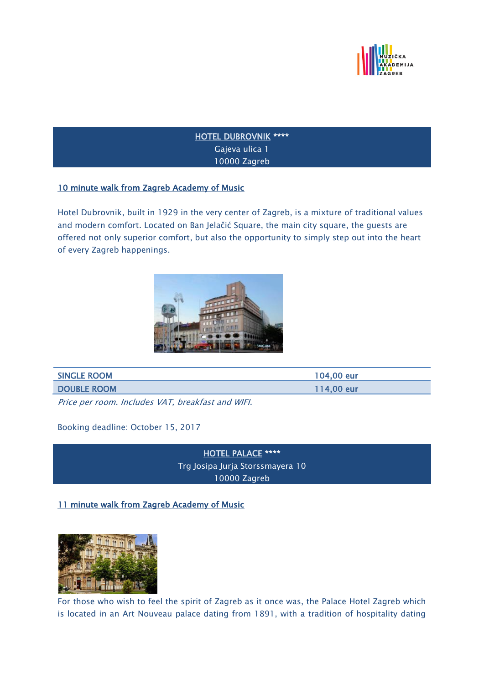

## [HOTEL DUBROVNIK](https://hotel-dubrovnik.hr/hr/) \*\*\*\* Gajeva ulica 1 10000 Zagreb

### 10 minute walk from Zagreb Academy of Music

Hotel Dubrovnik, built in 1929 in the very center of Zagreb, is a mixture of traditional values and modern comfort. Located on Ban Jelačić Square, the main city square, the guests are offered not only superior comfort, but also the opportunity to simply step out into the heart of every Zagreb happenings.



| <b>SINGLE ROOM</b> | 104,00 eur |
|--------------------|------------|
| <b>DOUBLE ROOM</b> | 114,00 eur |
|                    |            |

Price per room. Includes VAT, breakfast and WIFI.

Booking deadline: October 15, 2017

[HOTEL PALACE](http://palace.hr/) \*\*\*\* Trg Josipa Jurja Storssmayera 10 10000 Zagreb

11 minute walk from Zagreb Academy of Music



For those who wish to feel the spirit of Zagreb as it once was, the Palace Hotel Zagreb which is located in an Art Nouveau palace dating from 1891, with a tradition of hospitality dating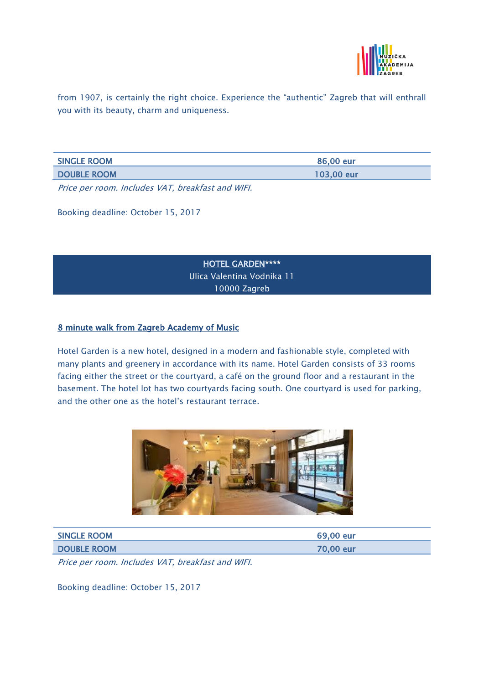

from 1907, is certainly the right choice. Experience the "authentic" Zagreb that will enthrall you with its beauty, charm and uniqueness.

| <b>SINGLE ROOM</b> | 86.00 eur  |
|--------------------|------------|
| <b>DOUBLE ROOM</b> | 103,00 eur |

Price per room. Includes VAT, breakfast and WIFI.

Booking deadline: October 15, 2017

[HOTEL GARDEN\\*](http://www.gardenhotel.hr/)\*\*\* Ulica Valentina Vodnika 11 10000 Zagreb

#### 8 minute walk from Zagreb Academy of Music

Hotel Garden is a new hotel, designed in a modern and fashionable style, completed with many plants and greenery in accordance with its name. Hotel Garden consists of 33 rooms facing either the street or the courtyard, a café on the ground floor and a restaurant in the basement. The hotel lot has two courtyards facing south. One courtyard is used for parking, and the other one as the hotel's restaurant terrace.



| <b>SINGLE ROOM</b> | 69,00 eur |
|--------------------|-----------|
| <b>DOUBLE ROOM</b> | 70,00 eur |

Price per room. Includes VAT, breakfast and WIFI.

Booking deadline: October 15, 2017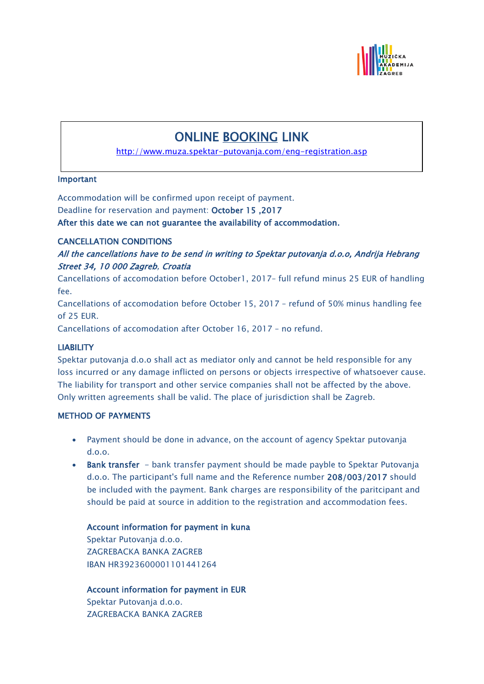

# ONLINE [BOOKING](http://www.muza.spektar-putovanja.com/) LINK

<http://www.muza.spektar-putovanja.com/eng-registration.asp>

L,

### Important

Accommodation will be confirmed upon receipt of payment.

Deadline for reservation and payment: October 15 ,2017

After this date we can not guarantee the availability of accommodation.

### CANCELLATION CONDITIONS

All the cancellations have to be send in writing to Spektar putovanja d.o.o, Andrija Hebrang Street 34, 10 000 Zagreb, Croatia

Cancellations of accomodation before October1, 2017– full refund minus 25 EUR of handling fee.

Cancellations of accomodation before October 15, 2017 – refund of 50% minus handling fee of 25 EUR.

Cancellations of accomodation after October 16, 2017 – no refund.

### **LIABILITY**

Spektar putovanja d.o.o shall act as mediator only and cannot be held responsible for any loss incurred or any damage inflicted on persons or objects irrespective of whatsoever cause. The liability for transport and other service companies shall not be affected by the above. Only written agreements shall be valid. The place of jurisdiction shall be Zagreb.

### METHOD OF PAYMENTS

- Payment should be done in advance, on the account of agency Spektar putovanja d.o.o.
- Bank transfer bank transfer payment should be made payble to Spektar Putovanja d.o.o. The participant's full name and the Reference number 208/003/2017 should be included with the payment. Bank charges are responsibility of the paritcipant and should be paid at source in addition to the registration and accommodation fees.

## Account information for payment in kuna

Spektar Putovanja d.o.o. ZAGREBACKA BANKA ZAGREB IBAN HR3923600001101441264

Account information for payment in EUR Spektar Putovanja d.o.o. ZAGREBACKA BANKA ZAGREB